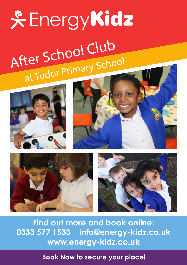# **& EnergyKidz** After School Club at Tudor Primary School









**Find out more and book online: 0333 577 1533 | info@energy-kidz.co.uk www.energy-kidz.co.uk** 

**Book Now to secure your place!**